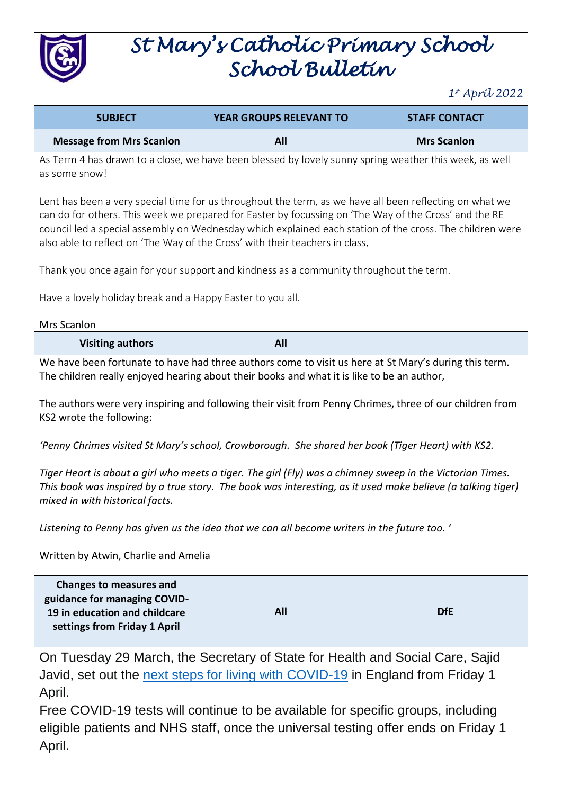

# *St Mary's Catholic Primary School School Bulletin*

*1 st April 2022*

| <b>SUBJECT</b>                                                                                                                                                                                                                                                                                                                                                                                                                                                                                                                                                                                                                                                                                                                                                                                                                                          | YEAR GROUPS RELEVANT TO                                                                                | <b>STAFF CONTACT</b> |  |
|---------------------------------------------------------------------------------------------------------------------------------------------------------------------------------------------------------------------------------------------------------------------------------------------------------------------------------------------------------------------------------------------------------------------------------------------------------------------------------------------------------------------------------------------------------------------------------------------------------------------------------------------------------------------------------------------------------------------------------------------------------------------------------------------------------------------------------------------------------|--------------------------------------------------------------------------------------------------------|----------------------|--|
| <b>Message from Mrs Scanlon</b>                                                                                                                                                                                                                                                                                                                                                                                                                                                                                                                                                                                                                                                                                                                                                                                                                         | <b>All</b>                                                                                             | <b>Mrs Scanlon</b>   |  |
| as some snow!                                                                                                                                                                                                                                                                                                                                                                                                                                                                                                                                                                                                                                                                                                                                                                                                                                           | As Term 4 has drawn to a close, we have been blessed by lovely sunny spring weather this week, as well |                      |  |
| Lent has been a very special time for us throughout the term, as we have all been reflecting on what we<br>can do for others. This week we prepared for Easter by focussing on 'The Way of the Cross' and the RE<br>council led a special assembly on Wednesday which explained each station of the cross. The children were<br>also able to reflect on 'The Way of the Cross' with their teachers in class.                                                                                                                                                                                                                                                                                                                                                                                                                                            |                                                                                                        |                      |  |
|                                                                                                                                                                                                                                                                                                                                                                                                                                                                                                                                                                                                                                                                                                                                                                                                                                                         | Thank you once again for your support and kindness as a community throughout the term.                 |                      |  |
| Have a lovely holiday break and a Happy Easter to you all.                                                                                                                                                                                                                                                                                                                                                                                                                                                                                                                                                                                                                                                                                                                                                                                              |                                                                                                        |                      |  |
| Mrs Scanlon                                                                                                                                                                                                                                                                                                                                                                                                                                                                                                                                                                                                                                                                                                                                                                                                                                             |                                                                                                        |                      |  |
| <b>Visiting authors</b>                                                                                                                                                                                                                                                                                                                                                                                                                                                                                                                                                                                                                                                                                                                                                                                                                                 | All                                                                                                    |                      |  |
| We have been fortunate to have had three authors come to visit us here at St Mary's during this term.<br>The children really enjoyed hearing about their books and what it is like to be an author,<br>The authors were very inspiring and following their visit from Penny Chrimes, three of our children from<br>KS2 wrote the following:<br>'Penny Chrimes visited St Mary's school, Crowborough. She shared her book (Tiger Heart) with KS2.<br>Tiger Heart is about a girl who meets a tiger. The girl (Fly) was a chimney sweep in the Victorian Times.<br>This book was inspired by a true story. The book was interesting, as it used make believe (a talking tiger)<br>mixed in with historical facts.<br>Listening to Penny has given us the idea that we can all become writers in the future too. '<br>Written by Atwin, Charlie and Amelia |                                                                                                        |                      |  |
| <b>Changes to measures and</b><br>guidance for managing COVID-<br>19 in education and childcare<br>settings from Friday 1 April                                                                                                                                                                                                                                                                                                                                                                                                                                                                                                                                                                                                                                                                                                                         | <b>All</b>                                                                                             | <b>DfE</b>           |  |
| On Tuesday 29 March, the Secretary of State for Health and Social Care, Sajid<br>Javid, set out the next steps for living with COVID-19 in England from Friday 1<br>April.<br>Free COVID-19 tests will continue to be available for specific groups, including<br>eligible patients and NHS staff, once the universal testing offer ends on Friday 1                                                                                                                                                                                                                                                                                                                                                                                                                                                                                                    |                                                                                                        |                      |  |

April.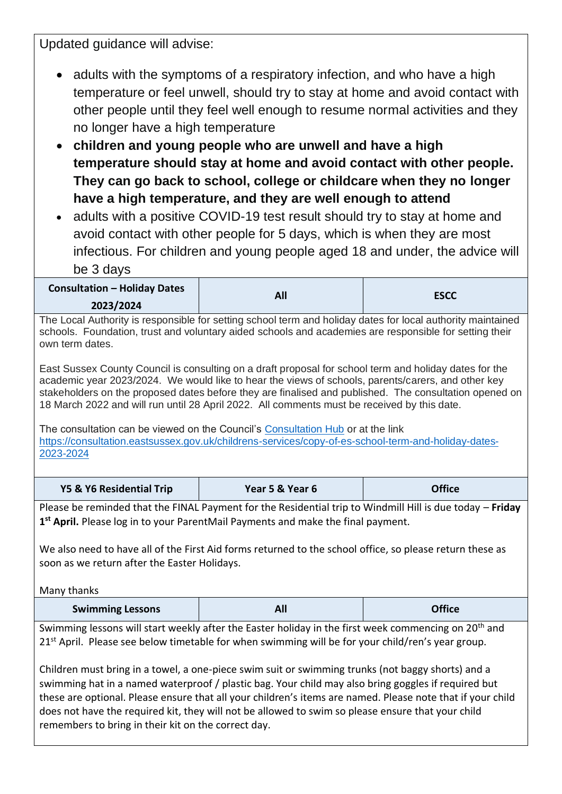Updated guidance will advise:

- adults with the symptoms of a respiratory infection, and who have a high temperature or feel unwell, should try to stay at home and avoid contact with other people until they feel well enough to resume normal activities and they no longer have a high temperature
- **children and young people who are unwell and have a high temperature should stay at home and avoid contact with other people. They can go back to school, college or childcare when they no longer have a high temperature, and they are well enough to attend**
- adults with a positive COVID-19 test result should try to stay at home and avoid contact with other people for 5 days, which is when they are most infectious. For children and young people aged 18 and under, the advice will be 3 days

| <b>Consultation - Holiday Dates</b> | All | <b>ESCC</b> |
|-------------------------------------|-----|-------------|
| 2023/2024                           |     |             |

The Local Authority is responsible for setting school term and holiday dates for local authority maintained schools. Foundation, trust and voluntary aided schools and academies are responsible for setting their own term dates.

East Sussex County Council is consulting on a draft proposal for school term and holiday dates for the academic year 2023/2024. We would like to hear the views of schools, parents/carers, and other key stakeholders on the proposed dates before they are finalised and published. The consultation opened on 18 March 2022 and will run until 28 April 2022. All comments must be received by this date.

The consultation can be viewed on the Council's [Consultation Hub](https://consultation.eastsussex.gov.uk/consultation_finder/?sort_on=iconsultable_enddate&sort_order=ascending&advanced=1&st=open#cs-finder-results-container) or at the link [https://consultation.eastsussex.gov.uk/childrens-services/copy-of-es-school-term-and-holiday-dates-](https://consultation.eastsussex.gov.uk/childrens-services/copy-of-es-school-term-and-holiday-dates-2023-2024)[2023-2024](https://consultation.eastsussex.gov.uk/childrens-services/copy-of-es-school-term-and-holiday-dates-2023-2024)

| Y5 & Y6 Residential Trip                                                                                                                                                                                                                                                                                               | Year 5 & Year 6 | <b>Office</b> |  |
|------------------------------------------------------------------------------------------------------------------------------------------------------------------------------------------------------------------------------------------------------------------------------------------------------------------------|-----------------|---------------|--|
| Please be reminded that the FINAL Payment for the Residential trip to Windmill Hill is due today - Friday<br>1 <sup>st</sup> April. Please log in to your ParentMail Payments and make the final payment.                                                                                                              |                 |               |  |
| We also need to have all of the First Aid forms returned to the school office, so please return these as<br>soon as we return after the Easter Holidays.                                                                                                                                                               |                 |               |  |
| Many thanks                                                                                                                                                                                                                                                                                                            |                 |               |  |
| <b>Swimming Lessons</b>                                                                                                                                                                                                                                                                                                | All             | <b>Office</b> |  |
| Swimming lessons will start weekly after the Easter holiday in the first week commencing on 20 <sup>th</sup> and<br>21 <sup>st</sup> April. Please see below timetable for when swimming will be for your child/ren's year group.                                                                                      |                 |               |  |
| Children must bring in a towel, a one-piece swim suit or swimming trunks (not baggy shorts) and a<br>swimming hat in a named waterproof / plastic bag. Your child may also bring goggles if required but<br>these are optional. Please ensure that all your children's items are named. Please note that if your child |                 |               |  |

does not have the required kit, they will not be allowed to swim so please ensure that your child remembers to bring in their kit on the correct day.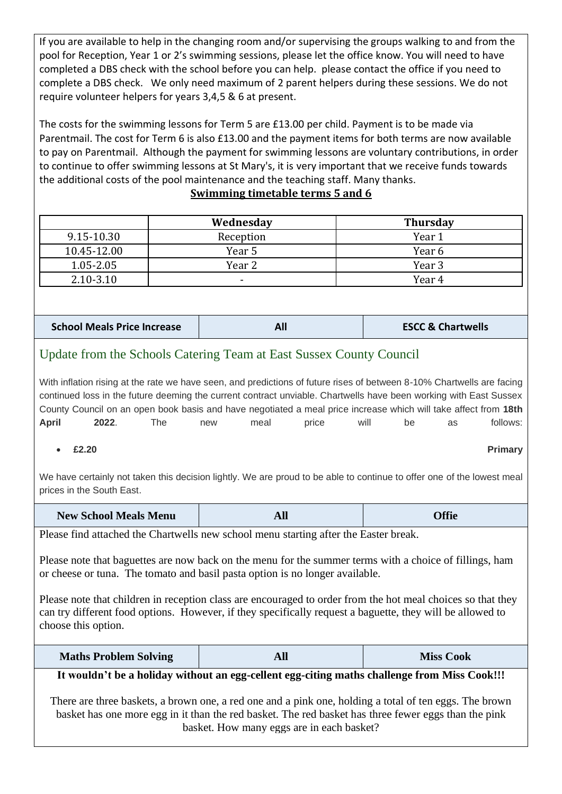If you are available to help in the changing room and/or supervising the groups walking to and from the pool for Reception, Year 1 or 2's swimming sessions, please let the office know. You will need to have completed a DBS check with the school before you can help. please contact the office if you need to complete a DBS check. We only need maximum of 2 parent helpers during these sessions. We do not require volunteer helpers for years 3,4,5 & 6 at present.

The costs for the swimming lessons for Term 5 are £13.00 per child. Payment is to be made via Parentmail. The cost for Term 6 is also £13.00 and the payment items for both terms are now available to pay on Parentmail. Although the payment for swimming lessons are voluntary contributions, in order to continue to offer swimming lessons at St Mary's, it is very important that we receive funds towards the additional costs of the pool maintenance and the teaching staff. Many thanks.

#### **Swimming timetable terms 5 and 6**

|               | Wednesday | <b>Thursday</b> |
|---------------|-----------|-----------------|
| 9.15-10.30    | Reception | Year 1          |
| 10.45-12.00   | Year 5    | Year 6          |
| 1.05-2.05     | Year 2    | Year 3          |
| $2.10 - 3.10$ | $\,$      | Year 4          |

| <b>School Meals Price Increase</b> |  | <b>ESCC &amp; Chartwells</b> |
|------------------------------------|--|------------------------------|
|------------------------------------|--|------------------------------|

### Update from the Schools Catering Team at East Sussex County Council

With inflation rising at the rate we have seen, and predictions of future rises of between 8-10% Chartwells are facing continued loss in the future deeming the current contract unviable. Chartwells have been working with East Sussex County Council on an open book basis and have negotiated a meal price increase which will take affect from **18th April 2022**. The new meal price will be as follows:

• **£2.20 Primary**

We have certainly not taken this decision lightly. We are proud to be able to continue to offer one of the lowest meal prices in the South East.

| <b>New School Meals Menu</b> | лш | <b>Offie</b> |
|------------------------------|----|--------------|
|------------------------------|----|--------------|

Please find attached the Chartwells new school menu starting after the Easter break.

Please note that baguettes are now back on the menu for the summer terms with a choice of fillings, ham or cheese or tuna. The tomato and basil pasta option is no longer available.

Please note that children in reception class are encouraged to order from the hot meal choices so that they can try different food options. However, if they specifically request a baguette, they will be allowed to choose this option.

| <b>Maths Problem Solving</b> | All | <b>Miss Cook</b> |
|------------------------------|-----|------------------|
|------------------------------|-----|------------------|

#### **It wouldn't be a holiday without an egg-cellent egg-citing maths challenge from Miss Cook!!!**

There are three baskets, a brown one, a red one and a pink one, holding a total of ten eggs. The brown basket has one more egg in it than the red basket. The red basket has three fewer eggs than the pink basket. How many eggs are in each basket?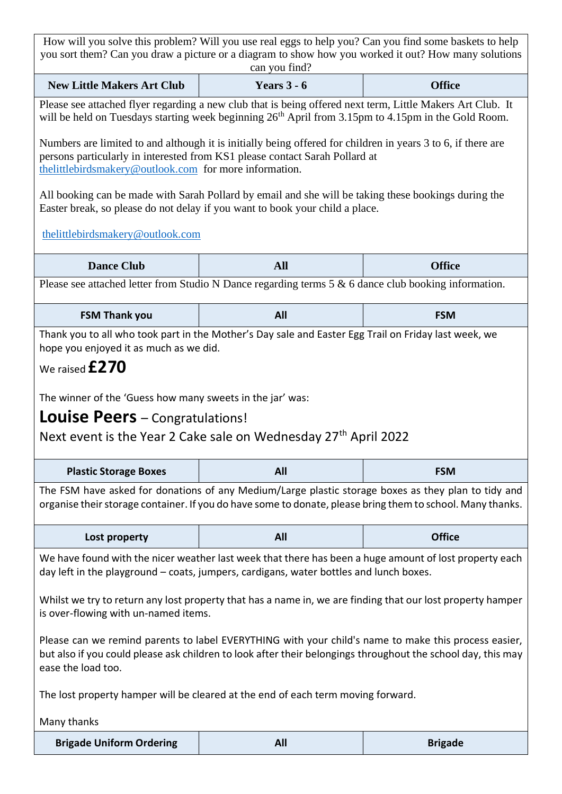| How will you solve this problem? Will you use real eggs to help you? Can you find some baskets to help                                                                                                                                                     |                                                                                                                                                                                      |                |  |  |
|------------------------------------------------------------------------------------------------------------------------------------------------------------------------------------------------------------------------------------------------------------|--------------------------------------------------------------------------------------------------------------------------------------------------------------------------------------|----------------|--|--|
| you sort them? Can you draw a picture or a diagram to show how you worked it out? How many solutions<br>can you find?                                                                                                                                      |                                                                                                                                                                                      |                |  |  |
| Years $3 - 6$<br><b>New Little Makers Art Club</b><br><b>Office</b>                                                                                                                                                                                        |                                                                                                                                                                                      |                |  |  |
|                                                                                                                                                                                                                                                            | Please see attached flyer regarding a new club that is being offered next term, Little Makers Art Club. It                                                                           |                |  |  |
|                                                                                                                                                                                                                                                            | will be held on Tuesdays starting week beginning $26th$ April from 3.15pm to 4.15pm in the Gold Room.                                                                                |                |  |  |
| Numbers are limited to and although it is initially being offered for children in years 3 to 6, if there are<br>persons particularly in interested from KS1 please contact Sarah Pollard at<br>the little birds makery @ outlook.com for more information. |                                                                                                                                                                                      |                |  |  |
|                                                                                                                                                                                                                                                            | All booking can be made with Sarah Pollard by email and she will be taking these bookings during the<br>Easter break, so please do not delay if you want to book your child a place. |                |  |  |
| thelittlebirdsmakery@outlook.com                                                                                                                                                                                                                           |                                                                                                                                                                                      |                |  |  |
| <b>Dance Club</b>                                                                                                                                                                                                                                          | <b>All</b>                                                                                                                                                                           | <b>Office</b>  |  |  |
|                                                                                                                                                                                                                                                            | Please see attached letter from Studio N Dance regarding terms $5 & 6$ dance club booking information.                                                                               |                |  |  |
|                                                                                                                                                                                                                                                            |                                                                                                                                                                                      |                |  |  |
| <b>FSM Thank you</b>                                                                                                                                                                                                                                       | All                                                                                                                                                                                  | <b>FSM</b>     |  |  |
| hope you enjoyed it as much as we did.                                                                                                                                                                                                                     | Thank you to all who took part in the Mother's Day sale and Easter Egg Trail on Friday last week, we                                                                                 |                |  |  |
| We raised $£270$                                                                                                                                                                                                                                           |                                                                                                                                                                                      |                |  |  |
|                                                                                                                                                                                                                                                            |                                                                                                                                                                                      |                |  |  |
| The winner of the 'Guess how many sweets in the jar' was:                                                                                                                                                                                                  |                                                                                                                                                                                      |                |  |  |
| <b>Louise Peers</b> – Congratulations!                                                                                                                                                                                                                     |                                                                                                                                                                                      |                |  |  |
|                                                                                                                                                                                                                                                            | Next event is the Year 2 Cake sale on Wednesday 27 <sup>th</sup> April 2022                                                                                                          |                |  |  |
| All<br><b>Plastic Storage Boxes</b><br><b>FSM</b>                                                                                                                                                                                                          |                                                                                                                                                                                      |                |  |  |
| The FSM have asked for donations of any Medium/Large plastic storage boxes as they plan to tidy and                                                                                                                                                        |                                                                                                                                                                                      |                |  |  |
| organise their storage container. If you do have some to donate, please bring them to school. Many thanks.                                                                                                                                                 |                                                                                                                                                                                      |                |  |  |
| Lost property                                                                                                                                                                                                                                              | All                                                                                                                                                                                  | <b>Office</b>  |  |  |
|                                                                                                                                                                                                                                                            |                                                                                                                                                                                      |                |  |  |
| We have found with the nicer weather last week that there has been a huge amount of lost property each<br>day left in the playground – coats, jumpers, cardigans, water bottles and lunch boxes.                                                           |                                                                                                                                                                                      |                |  |  |
| Whilst we try to return any lost property that has a name in, we are finding that our lost property hamper<br>is over-flowing with un-named items.                                                                                                         |                                                                                                                                                                                      |                |  |  |
| Please can we remind parents to label EVERYTHING with your child's name to make this process easier,<br>but also if you could please ask children to look after their belongings throughout the school day, this may<br>ease the load too.                 |                                                                                                                                                                                      |                |  |  |
| The lost property hamper will be cleared at the end of each term moving forward.                                                                                                                                                                           |                                                                                                                                                                                      |                |  |  |
| Many thanks                                                                                                                                                                                                                                                |                                                                                                                                                                                      |                |  |  |
| <b>Brigade Uniform Ordering</b>                                                                                                                                                                                                                            | All                                                                                                                                                                                  | <b>Brigade</b> |  |  |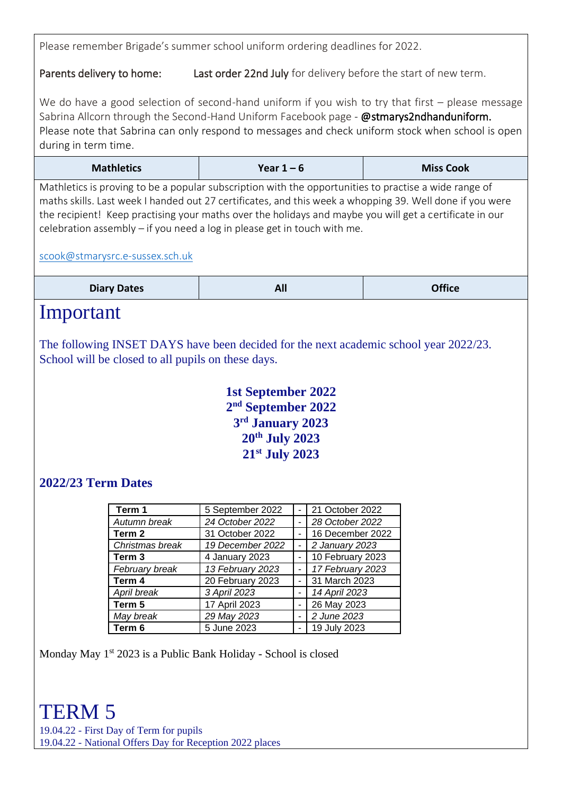Please remember Brigade's summer school uniform ordering deadlines for 2022.

Parents delivery to home: Last order 22nd July for delivery before the start of new term.

We do have a good selection of second-hand uniform if you wish to try that first – please message Sabrina Allcorn through the Second-Hand Uniform Facebook page - @stmarys2ndhanduniform. Please note that Sabrina can only respond to messages and check uniform stock when school is open during in term time.

| <b>Mathletics</b> | Year $1 - 6$ | <b>Miss Cook</b> |
|-------------------|--------------|------------------|
|-------------------|--------------|------------------|

Mathletics is proving to be a popular subscription with the opportunities to practise a wide range of maths skills. Last week I handed out 27 certificates, and this week a whopping 39. Well done if you were the recipient! Keep practising your maths over the holidays and maybe you will get a certificate in our celebration assembly – if you need a log in please get in touch with me.

#### [scook@stmarysrc.e-sussex.sch.uk](mailto:scook@stmarysrc.e-sussex.sch.uk)

| <b>Diary Dates</b> | AII. | <b>Office</b> |
|--------------------|------|---------------|
|--------------------|------|---------------|

### Important

The following INSET DAYS have been decided for the next academic school year 2022/23. School will be closed to all pupils on these days.

> **1st September 2022 nd September 2022 rd January 2023 th July 2023 st July 2023**

### **2022/23 Term Dates**

| Term 1          | 5 September 2022 | 21 October 2022  |
|-----------------|------------------|------------------|
| Autumn break    | 24 October 2022  | 28 October 2022  |
| Term 2          | 31 October 2022  | 16 December 2022 |
| Christmas break | 19 December 2022 | 2 January 2023   |
| Term 3          | 4 January 2023   | 10 February 2023 |
| February break  | 13 February 2023 | 17 February 2023 |
| Term 4          | 20 February 2023 | 31 March 2023    |
| April break     | 3 April 2023     | 14 April 2023    |
| Term 5          | 17 April 2023    | 26 May 2023      |
| May break       | 29 May 2023      | 2 June 2023      |
| ∣ Term 6        | 5 June 2023      | 19 July 2023     |

Monday May  $1<sup>st</sup> 2023$  is a Public Bank Holiday - School is closed

### TERM 5

19.04.22 - First Day of Term for pupils 19.04.22 - National Offers Day for Reception 2022 places